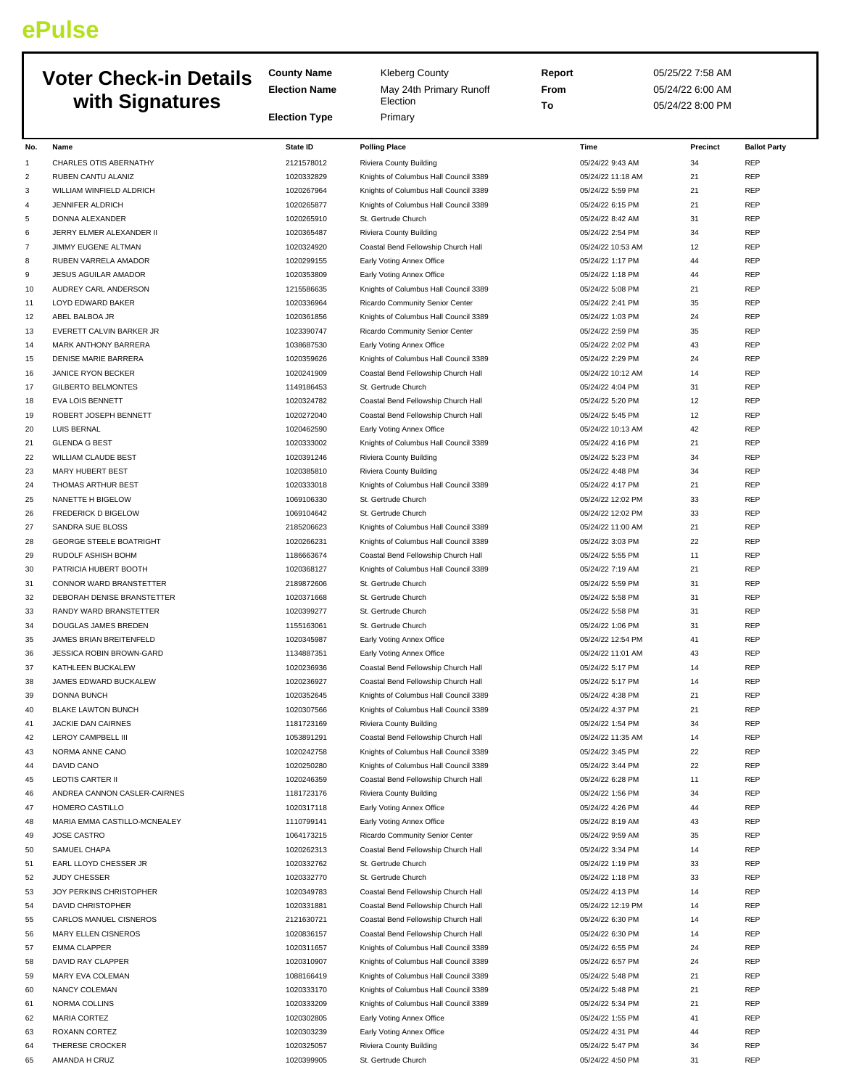## **ePulse**

|          | <b>Voter Check-in Details</b>                      | <b>County Name</b>       | <b>Kleberg County</b>                                                          | Report                                | 05/25/22 7:58 AM |                          |
|----------|----------------------------------------------------|--------------------------|--------------------------------------------------------------------------------|---------------------------------------|------------------|--------------------------|
|          |                                                    | <b>Election Name</b>     | May 24th Primary Runoff                                                        | From                                  | 05/24/22 6:00 AM |                          |
|          | with Signatures                                    |                          | Election                                                                       | To                                    | 05/24/22 8:00 PM |                          |
|          |                                                    | <b>Election Type</b>     | Primary                                                                        |                                       |                  |                          |
| No.      | Name                                               | State ID                 | <b>Polling Place</b>                                                           | Time                                  | Precinct         | <b>Ballot Party</b>      |
| 1        | CHARLES OTIS ABERNATHY                             | 2121578012               | Riviera County Building                                                        | 05/24/22 9:43 AM                      | 34               | <b>REP</b>               |
| 2        | RUBEN CANTU ALANIZ                                 | 1020332829               | Knights of Columbus Hall Council 3389                                          | 05/24/22 11:18 AM                     | 21               | <b>REP</b>               |
| 3        | WILLIAM WINFIELD ALDRICH                           | 1020267964               | Knights of Columbus Hall Council 3389                                          | 05/24/22 5:59 PM                      | 21               | <b>REP</b>               |
| 4        | JENNIFER ALDRICH                                   | 1020265877               | Knights of Columbus Hall Council 3389                                          | 05/24/22 6:15 PM                      | 21               | <b>REP</b>               |
| 5        | DONNA ALEXANDER                                    | 1020265910               | St. Gertrude Church                                                            | 05/24/22 8:42 AM                      | 31               | <b>REP</b>               |
| 6        | JERRY ELMER ALEXANDER II                           | 1020365487               | Riviera County Building                                                        | 05/24/22 2:54 PM                      | 34               | <b>REP</b>               |
| 7        | <b>JIMMY EUGENE ALTMAN</b>                         | 1020324920               | Coastal Bend Fellowship Church Hall                                            | 05/24/22 10:53 AM                     | 12               | <b>REP</b>               |
| 8        | RUBEN VARRELA AMADOR                               | 1020299155               | Early Voting Annex Office                                                      | 05/24/22 1:17 PM                      | 44               | <b>REP</b>               |
| 9        | JESUS AGUILAR AMADOR                               | 1020353809               | Early Voting Annex Office                                                      | 05/24/22 1:18 PM                      | 44               | <b>REP</b>               |
| 10<br>11 | AUDREY CARL ANDERSON<br>LOYD EDWARD BAKER          | 1215586635<br>1020336964 | Knights of Columbus Hall Council 3389<br>Ricardo Community Senior Center       | 05/24/22 5:08 PM<br>05/24/22 2:41 PM  | 21<br>35         | <b>REP</b><br><b>REP</b> |
| 12       | ABEL BALBOA JR                                     | 1020361856               | Knights of Columbus Hall Council 3389                                          | 05/24/22 1:03 PM                      | 24               | <b>REP</b>               |
| 13       | EVERETT CALVIN BARKER JR                           | 1023390747               | Ricardo Community Senior Center                                                | 05/24/22 2:59 PM                      | 35               | <b>REP</b>               |
| 14       | MARK ANTHONY BARRERA                               | 1038687530               | Early Voting Annex Office                                                      | 05/24/22 2:02 PM                      | 43               | <b>REP</b>               |
| 15       | <b>DENISE MARIE BARRERA</b>                        | 1020359626               | Knights of Columbus Hall Council 3389                                          | 05/24/22 2:29 PM                      | 24               | <b>REP</b>               |
| 16       | JANICE RYON BECKER                                 | 1020241909               | Coastal Bend Fellowship Church Hall                                            | 05/24/22 10:12 AM                     | 14               | <b>REP</b>               |
| 17       | <b>GILBERTO BELMONTES</b>                          | 1149186453               | St. Gertrude Church                                                            | 05/24/22 4:04 PM                      | 31               | <b>REP</b>               |
| 18       | <b>EVA LOIS BENNETT</b>                            | 1020324782               | Coastal Bend Fellowship Church Hall                                            | 05/24/22 5:20 PM                      | 12               | <b>REP</b>               |
| 19       | ROBERT JOSEPH BENNETT                              | 1020272040               | Coastal Bend Fellowship Church Hall                                            | 05/24/22 5:45 PM                      | 12               | <b>REP</b>               |
| 20       | LUIS BERNAL                                        | 1020462590               | Early Voting Annex Office                                                      | 05/24/22 10:13 AM                     | 42               | <b>REP</b>               |
| 21       | <b>GLENDA G BEST</b>                               | 1020333002               | Knights of Columbus Hall Council 3389                                          | 05/24/22 4:16 PM                      | 21               | <b>REP</b>               |
| 22       | <b>WILLIAM CLAUDE BEST</b>                         | 1020391246               | Riviera County Building                                                        | 05/24/22 5:23 PM                      | 34               | <b>REP</b>               |
| 23       | MARY HUBERT BEST                                   | 1020385810               | Riviera County Building                                                        | 05/24/22 4:48 PM                      | 34               | <b>REP</b>               |
| 24       | THOMAS ARTHUR BEST                                 | 1020333018               | Knights of Columbus Hall Council 3389                                          | 05/24/22 4:17 PM                      | 21               | <b>REP</b>               |
| 25       | NANETTE H BIGELOW                                  | 1069106330               | St. Gertrude Church                                                            | 05/24/22 12:02 PM                     | 33               | <b>REP</b>               |
| 26       | <b>FREDERICK D BIGELOW</b>                         | 1069104642               | St. Gertrude Church                                                            | 05/24/22 12:02 PM                     | 33               | <b>REP</b><br><b>REP</b> |
| 27<br>28 | SANDRA SUE BLOSS<br><b>GEORGE STEELE BOATRIGHT</b> | 2185206623<br>1020266231 | Knights of Columbus Hall Council 3389<br>Knights of Columbus Hall Council 3389 | 05/24/22 11:00 AM<br>05/24/22 3:03 PM | 21<br>22         | <b>REP</b>               |
| 29       | RUDOLF ASHISH BOHM                                 | 1186663674               | Coastal Bend Fellowship Church Hall                                            | 05/24/22 5:55 PM                      | 11               | <b>REP</b>               |
| 30       | PATRICIA HUBERT BOOTH                              | 1020368127               | Knights of Columbus Hall Council 3389                                          | 05/24/22 7:19 AM                      | 21               | <b>REP</b>               |
| 31       | CONNOR WARD BRANSTETTER                            | 2189872606               | St. Gertrude Church                                                            | 05/24/22 5:59 PM                      | 31               | <b>REP</b>               |
| 32       | DEBORAH DENISE BRANSTETTER                         | 1020371668               | St. Gertrude Church                                                            | 05/24/22 5:58 PM                      | 31               | <b>REP</b>               |
| 33       | RANDY WARD BRANSTETTER                             | 1020399277               | St. Gertrude Church                                                            | 05/24/22 5:58 PM                      | 31               | <b>REP</b>               |
| 34       | DOUGLAS JAMES BREDEN                               | 1155163061               | St. Gertrude Church                                                            | 05/24/22 1:06 PM                      | 31               | <b>REP</b>               |
| 35       | JAMES BRIAN BREITENFELD                            | 1020345987               | Early Voting Annex Office                                                      | 05/24/22 12:54 PM                     | 41               | <b>REP</b>               |
| 36       | <b>JESSICA ROBIN BROWN-GARD</b>                    | 1134887351               | Early Voting Annex Office                                                      | 05/24/22 11:01 AM                     | 43               | <b>REP</b>               |
| 37       | KATHLEEN BUCKALEW                                  | 1020236936               | Coastal Bend Fellowship Church Hall                                            | 05/24/22 5:17 PM                      | 14               | REP                      |
| 38       | JAMES EDWARD BUCKALEW                              | 1020236927               | Coastal Bend Fellowship Church Hall                                            | 05/24/22 5:17 PM                      | 14               | <b>REP</b>               |
| 39       | DONNA BUNCH                                        | 1020352645               | Knights of Columbus Hall Council 3389                                          | 05/24/22 4:38 PM                      | 21               | <b>REP</b>               |
| 40       | <b>BLAKE LAWTON BUNCH</b>                          | 1020307566               | Knights of Columbus Hall Council 3389                                          | 05/24/22 4:37 PM                      | 21               | <b>REP</b>               |
| 41       | JACKIE DAN CAIRNES                                 | 1181723169               | Riviera County Building                                                        | 05/24/22 1:54 PM                      | 34               | <b>REP</b>               |
| 42       | LEROY CAMPBELL III<br>NORMA ANNE CANO              | 1053891291               | Coastal Bend Fellowship Church Hall                                            | 05/24/22 11:35 AM                     | 14<br>22         | <b>REP</b><br><b>REP</b> |
| 43<br>44 | DAVID CANO                                         | 1020242758<br>1020250280 | Knights of Columbus Hall Council 3389<br>Knights of Columbus Hall Council 3389 | 05/24/22 3:45 PM<br>05/24/22 3:44 PM  | 22               | <b>REP</b>               |
| 45       | <b>LEOTIS CARTER II</b>                            | 1020246359               | Coastal Bend Fellowship Church Hall                                            | 05/24/22 6:28 PM                      | $11\,$           | <b>REP</b>               |
| 46       | ANDREA CANNON CASLER-CAIRNES                       | 1181723176               | Riviera County Building                                                        | 05/24/22 1:56 PM                      | 34               | <b>REP</b>               |
| 47       | HOMERO CASTILLO                                    | 1020317118               | Early Voting Annex Office                                                      | 05/24/22 4:26 PM                      | 44               | <b>REP</b>               |
| 48       | MARIA EMMA CASTILLO-MCNEALEY                       | 1110799141               | Early Voting Annex Office                                                      | 05/24/22 8:19 AM                      | 43               | <b>REP</b>               |
| 49       | JOSE CASTRO                                        | 1064173215               | Ricardo Community Senior Center                                                | 05/24/22 9:59 AM                      | 35               | <b>REP</b>               |
| 50       | SAMUEL CHAPA                                       | 1020262313               | Coastal Bend Fellowship Church Hall                                            | 05/24/22 3:34 PM                      | 14               | <b>REP</b>               |
| 51       | EARL LLOYD CHESSER JR                              | 1020332762               | St. Gertrude Church                                                            | 05/24/22 1:19 PM                      | 33               | <b>REP</b>               |
| 52       | <b>JUDY CHESSER</b>                                | 1020332770               | St. Gertrude Church                                                            | 05/24/22 1:18 PM                      | 33               | <b>REP</b>               |
| 53       | JOY PERKINS CHRISTOPHER                            | 1020349783               | Coastal Bend Fellowship Church Hall                                            | 05/24/22 4:13 PM                      | 14               | <b>REP</b>               |
| 54       | DAVID CHRISTOPHER                                  | 1020331881               | Coastal Bend Fellowship Church Hall                                            | 05/24/22 12:19 PM                     | 14               | <b>REP</b>               |
| 55       | CARLOS MANUEL CISNEROS                             | 2121630721               | Coastal Bend Fellowship Church Hall                                            | 05/24/22 6:30 PM                      | 14               | <b>REP</b>               |
| 56       | <b>MARY ELLEN CISNEROS</b>                         | 1020836157               | Coastal Bend Fellowship Church Hall                                            | 05/24/22 6:30 PM                      | 14               | <b>REP</b>               |
| 57       | <b>EMMA CLAPPER</b>                                | 1020311657               | Knights of Columbus Hall Council 3389                                          | 05/24/22 6:55 PM                      | 24               | <b>REP</b>               |
| 58       | DAVID RAY CLAPPER                                  | 1020310907               | Knights of Columbus Hall Council 3389                                          | 05/24/22 6:57 PM                      | 24               | <b>REP</b>               |
| 59<br>60 | MARY EVA COLEMAN<br>NANCY COLEMAN                  | 1088166419<br>1020333170 | Knights of Columbus Hall Council 3389<br>Knights of Columbus Hall Council 3389 | 05/24/22 5:48 PM<br>05/24/22 5:48 PM  | 21<br>21         | <b>REP</b><br><b>REP</b> |
| 61       | NORMA COLLINS                                      | 1020333209               | Knights of Columbus Hall Council 3389                                          | 05/24/22 5:34 PM                      | 21               | <b>REP</b>               |
| 62       | MARIA CORTEZ                                       | 1020302805               | Early Voting Annex Office                                                      | 05/24/22 1:55 PM                      | 41               | <b>REP</b>               |
| 63       | ROXANN CORTEZ                                      | 1020303239               | Early Voting Annex Office                                                      | 05/24/22 4:31 PM                      | 44               | <b>REP</b>               |
| 64       | THERESE CROCKER                                    | 1020325057               | Riviera County Building                                                        | 05/24/22 5:47 PM                      | 34               | <b>REP</b>               |
| 65       | AMANDA H CRUZ                                      | 1020399905               | St. Gertrude Church                                                            | 05/24/22 4:50 PM                      | 31               | <b>REP</b>               |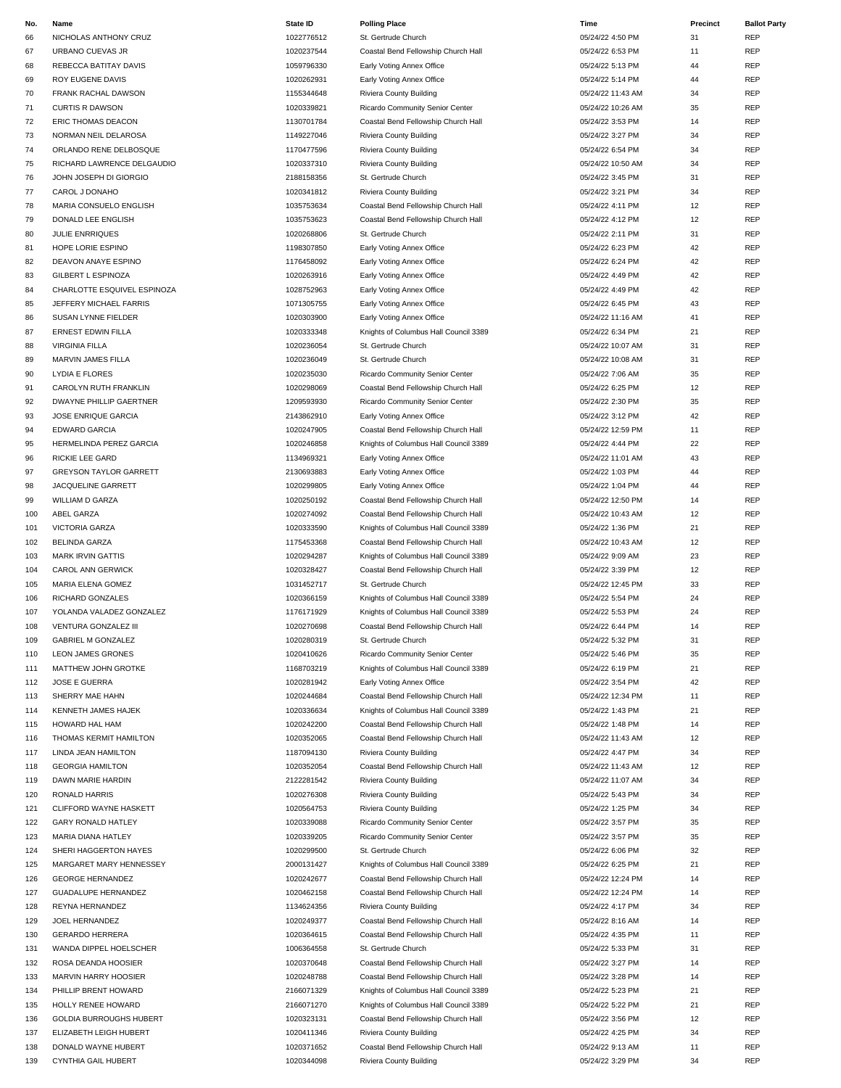| No. | Name                           | <b>State ID</b> | <b>Polling Place</b>                  | Time              | Precinct | <b>Ballot Party</b> |
|-----|--------------------------------|-----------------|---------------------------------------|-------------------|----------|---------------------|
| 66  | NICHOLAS ANTHONY CRUZ          | 1022776512      | St. Gertrude Church                   | 05/24/22 4:50 PM  | 31       | REP                 |
| 67  | URBANO CUEVAS JR               | 1020237544      | Coastal Bend Fellowship Church Hall   | 05/24/22 6:53 PM  | 11       | REP                 |
| 68  | REBECCA BATITAY DAVIS          | 1059796330      | Early Voting Annex Office             | 05/24/22 5:13 PM  | 44       | REP                 |
| 69  | ROY EUGENE DAVIS               | 1020262931      | Early Voting Annex Office             | 05/24/22 5:14 PM  | 44       | REP                 |
| 70  | FRANK RACHAL DAWSON            | 1155344648      | Riviera County Building               | 05/24/22 11:43 AM | 34       | REP                 |
| 71  | <b>CURTIS R DAWSON</b>         | 1020339821      | Ricardo Community Senior Center       | 05/24/22 10:26 AM | 35       | REP                 |
| 72  | ERIC THOMAS DEACON             | 1130701784      | Coastal Bend Fellowship Church Hall   | 05/24/22 3:53 PM  | 14       | <b>REP</b>          |
|     |                                |                 |                                       |                   |          |                     |
| 73  | NORMAN NEIL DELAROSA           | 1149227046      | Riviera County Building               | 05/24/22 3:27 PM  | 34       | REP                 |
| 74  | ORLANDO RENE DELBOSQUE         | 1170477596      | Riviera County Building               | 05/24/22 6:54 PM  | 34       | REP                 |
| 75  | RICHARD LAWRENCE DELGAUDIO     | 1020337310      | Riviera County Building               | 05/24/22 10:50 AM | 34       | REP                 |
| 76  | JOHN JOSEPH DI GIORGIO         | 2188158356      | St. Gertrude Church                   | 05/24/22 3:45 PM  | 31       | REP                 |
| 77  | CAROL J DONAHO                 | 1020341812      | Riviera County Building               | 05/24/22 3:21 PM  | 34       | REP                 |
| 78  | MARIA CONSUELO ENGLISH         | 1035753634      | Coastal Bend Fellowship Church Hall   | 05/24/22 4:11 PM  | 12       | REP                 |
| 79  | DONALD LEE ENGLISH             | 1035753623      | Coastal Bend Fellowship Church Hall   | 05/24/22 4:12 PM  | 12       | REP                 |
| 80  | <b>JULIE ENRRIQUES</b>         | 1020268806      | St. Gertrude Church                   | 05/24/22 2:11 PM  | 31       | REP                 |
| 81  | HOPE LORIE ESPINO              | 1198307850      | Early Voting Annex Office             | 05/24/22 6:23 PM  | 42       | REP                 |
| 82  | DEAVON ANAYE ESPINO            | 1176458092      | Early Voting Annex Office             | 05/24/22 6:24 PM  | 42       | REP                 |
| 83  | <b>GILBERT L ESPINOZA</b>      | 1020263916      | Early Voting Annex Office             | 05/24/22 4:49 PM  | 42       | REP                 |
| 84  | CHARLOTTE ESQUIVEL ESPINOZA    | 1028752963      | Early Voting Annex Office             | 05/24/22 4:49 PM  | 42       | REP                 |
| 85  | JEFFERY MICHAEL FARRIS         | 1071305755      | Early Voting Annex Office             | 05/24/22 6:45 PM  | 43       | REP                 |
| 86  | SUSAN LYNNE FIELDER            | 1020303900      | Early Voting Annex Office             | 05/24/22 11:16 AM | 41       | REP                 |
|     |                                |                 |                                       |                   |          |                     |
| 87  | <b>ERNEST EDWIN FILLA</b>      | 1020333348      | Knights of Columbus Hall Council 3389 | 05/24/22 6:34 PM  | 21       | REP                 |
| 88  | <b>VIRGINIA FILLA</b>          | 1020236054      | St. Gertrude Church                   | 05/24/22 10:07 AM | 31       | REP                 |
| 89  | MARVIN JAMES FILLA             | 1020236049      | St. Gertrude Church                   | 05/24/22 10:08 AM | 31       | REP                 |
| 90  | <b>LYDIA E FLORES</b>          | 1020235030      | Ricardo Community Senior Center       | 05/24/22 7:06 AM  | 35       | REP                 |
| 91  | CAROLYN RUTH FRANKLIN          | 1020298069      | Coastal Bend Fellowship Church Hall   | 05/24/22 6:25 PM  | 12       | REP                 |
| 92  | <b>DWAYNE PHILLIP GAERTNER</b> | 1209593930      | Ricardo Community Senior Center       | 05/24/22 2:30 PM  | 35       | REP                 |
| 93  | JOSE ENRIQUE GARCIA            | 2143862910      | Early Voting Annex Office             | 05/24/22 3:12 PM  | 42       | REP                 |
| 94  | <b>EDWARD GARCIA</b>           | 1020247905      | Coastal Bend Fellowship Church Hall   | 05/24/22 12:59 PM | 11       | REP                 |
| 95  | HERMELINDA PEREZ GARCIA        | 1020246858      | Knights of Columbus Hall Council 3389 | 05/24/22 4:44 PM  | 22       | REP                 |
| 96  | <b>RICKIE LEE GARD</b>         | 1134969321      | Early Voting Annex Office             | 05/24/22 11:01 AM | 43       | REP                 |
| 97  | <b>GREYSON TAYLOR GARRETT</b>  | 2130693883      | Early Voting Annex Office             | 05/24/22 1:03 PM  | 44       | REP                 |
| 98  | JACQUELINE GARRETT             | 1020299805      | Early Voting Annex Office             | 05/24/22 1:04 PM  | 44       | REP                 |
| 99  | <b>WILLIAM D GARZA</b>         | 1020250192      | Coastal Bend Fellowship Church Hall   | 05/24/22 12:50 PM | 14       | REP                 |
| 100 | ABEL GARZA                     | 1020274092      | Coastal Bend Fellowship Church Hall   | 05/24/22 10:43 AM | 12       | REP                 |
| 101 | <b>VICTORIA GARZA</b>          | 1020333590      | Knights of Columbus Hall Council 3389 | 05/24/22 1:36 PM  | 21       | <b>REP</b>          |
|     |                                |                 |                                       |                   |          | REP                 |
| 102 | <b>BELINDA GARZA</b>           | 1175453368      | Coastal Bend Fellowship Church Hall   | 05/24/22 10:43 AM | 12       |                     |
| 103 | <b>MARK IRVIN GATTIS</b>       | 1020294287      | Knights of Columbus Hall Council 3389 | 05/24/22 9:09 AM  | 23       | REP                 |
| 104 | CAROL ANN GERWICK              | 1020328427      | Coastal Bend Fellowship Church Hall   | 05/24/22 3:39 PM  | 12       | REP                 |
| 105 | MARIA ELENA GOMEZ              | 1031452717      | St. Gertrude Church                   | 05/24/22 12:45 PM | 33       | REP                 |
| 106 | RICHARD GONZALES               | 1020366159      | Knights of Columbus Hall Council 3389 | 05/24/22 5:54 PM  | 24       | REP                 |
| 107 | YOLANDA VALADEZ GONZALEZ       | 1176171929      | Knights of Columbus Hall Council 3389 | 05/24/22 5:53 PM  | 24       | <b>REP</b>          |
| 108 | VENTURA GONZALEZ III           | 1020270698      | Coastal Bend Fellowship Church Hall   | 05/24/22 6:44 PM  | 14       | REP                 |
| 109 | <b>GABRIEL M GONZALEZ</b>      | 1020280319      | St. Gertrude Church                   | 05/24/22 5:32 PM  | 31       | REP                 |
| 110 | LEON JAMES GRONES              | 1020410626      | Ricardo Community Senior Center       | 05/24/22 5:46 PM  | 35       | REP                 |
| 111 | MATTHEW JOHN GROTKE            | 1168703219      | Knights of Columbus Hall Council 3389 | 05/24/22 6:19 PM  | 21       | REP                 |
| 112 | <b>JOSE E GUERRA</b>           | 1020281942      | Early Voting Annex Office             | 05/24/22 3:54 PM  | 42       | REP                 |
| 113 | SHERRY MAE HAHN                | 1020244684      | Coastal Bend Fellowship Church Hall   | 05/24/22 12:34 PM | 11       | REP                 |
| 114 | KENNETH JAMES HAJEK            | 1020336634      | Knights of Columbus Hall Council 3389 | 05/24/22 1:43 PM  | 21       | REP                 |
| 115 | HOWARD HAL HAM                 | 1020242200      | Coastal Bend Fellowship Church Hall   | 05/24/22 1:48 PM  | 14       | REP                 |
| 116 | THOMAS KERMIT HAMILTON         | 1020352065      | Coastal Bend Fellowship Church Hall   | 05/24/22 11:43 AM | 12       | REP                 |
| 117 | LINDA JEAN HAMILTON            | 1187094130      | Riviera County Building               | 05/24/22 4:47 PM  | 34       | REP                 |
| 118 | <b>GEORGIA HAMILTON</b>        | 1020352054      | Coastal Bend Fellowship Church Hall   | 05/24/22 11:43 AM | 12       | REP                 |
| 119 | DAWN MARIE HARDIN              | 2122281542      | Riviera County Building               | 05/24/22 11:07 AM | 34       | REP                 |
| 120 | RONALD HARRIS                  | 1020276308      | Riviera County Building               | 05/24/22 5:43 PM  | 34       | REP                 |
|     |                                |                 | Riviera County Building               |                   |          | REP                 |
| 121 | CLIFFORD WAYNE HASKETT         | 1020564753      |                                       | 05/24/22 1:25 PM  | 34       |                     |
| 122 | <b>GARY RONALD HATLEY</b>      | 1020339088      | Ricardo Community Senior Center       | 05/24/22 3:57 PM  | 35       | REP                 |
| 123 | MARIA DIANA HATLEY             | 1020339205      | Ricardo Community Senior Center       | 05/24/22 3:57 PM  | 35       | REP                 |
| 124 | SHERI HAGGERTON HAYES          | 1020299500      | St. Gertrude Church                   | 05/24/22 6:06 PM  | 32       | REP                 |
| 125 | MARGARET MARY HENNESSEY        | 2000131427      | Knights of Columbus Hall Council 3389 | 05/24/22 6:25 PM  | 21       | REP                 |
| 126 | <b>GEORGE HERNANDEZ</b>        | 1020242677      | Coastal Bend Fellowship Church Hall   | 05/24/22 12:24 PM | 14       | <b>REP</b>          |
| 127 | <b>GUADALUPE HERNANDEZ</b>     | 1020462158      | Coastal Bend Fellowship Church Hall   | 05/24/22 12:24 PM | 14       | REP                 |
| 128 | REYNA HERNANDEZ                | 1134624356      | Riviera County Building               | 05/24/22 4:17 PM  | 34       | REP                 |
| 129 | JOEL HERNANDEZ                 | 1020249377      | Coastal Bend Fellowship Church Hall   | 05/24/22 8:16 AM  | 14       | REP                 |
| 130 | <b>GERARDO HERRERA</b>         | 1020364615      | Coastal Bend Fellowship Church Hall   | 05/24/22 4:35 PM  | 11       | REP                 |
| 131 | WANDA DIPPEL HOELSCHER         | 1006364558      | St. Gertrude Church                   | 05/24/22 5:33 PM  | 31       | REP                 |
| 132 | ROSA DEANDA HOOSIER            | 1020370648      | Coastal Bend Fellowship Church Hall   | 05/24/22 3:27 PM  | 14       | REP                 |
| 133 | <b>MARVIN HARRY HOOSIER</b>    | 1020248788      | Coastal Bend Fellowship Church Hall   | 05/24/22 3:28 PM  | 14       | REP                 |
| 134 | PHILLIP BRENT HOWARD           | 2166071329      | Knights of Columbus Hall Council 3389 | 05/24/22 5:23 PM  | 21       | REP                 |
| 135 | HOLLY RENEE HOWARD             | 2166071270      | Knights of Columbus Hall Council 3389 | 05/24/22 5:22 PM  | 21       | <b>REP</b>          |
|     |                                |                 |                                       |                   |          | REP                 |
| 136 | <b>GOLDIA BURROUGHS HUBERT</b> | 1020323131      | Coastal Bend Fellowship Church Hall   | 05/24/22 3:56 PM  | 12       |                     |
| 137 | ELIZABETH LEIGH HUBERT         | 1020411346      | Riviera County Building               | 05/24/22 4:25 PM  | 34       | REP                 |
| 138 | DONALD WAYNE HUBERT            | 1020371652      | Coastal Bend Fellowship Church Hall   | 05/24/22 9:13 AM  | 11       | REP                 |
| 139 | CYNTHIA GAIL HUBERT            | 1020344098      | Riviera County Building               | 05/24/22 3:29 PM  | 34       | <b>REP</b>          |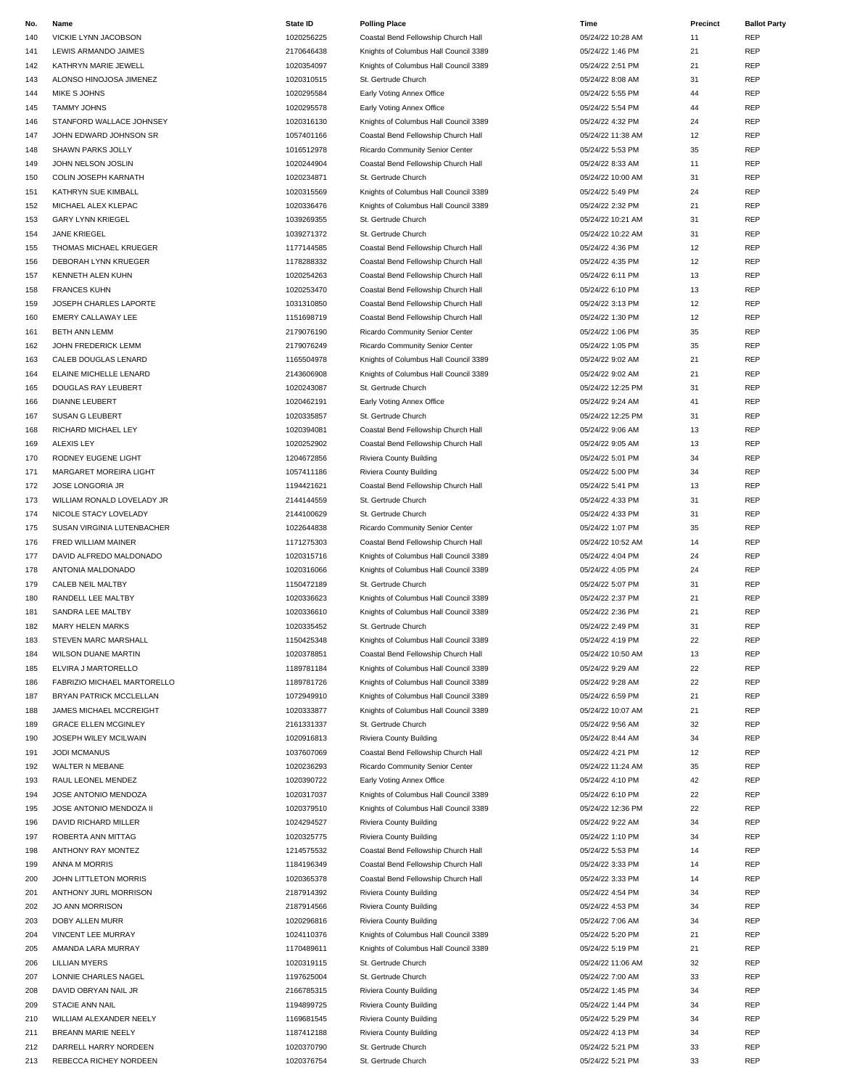| No. | Name                        | State ID   | <b>Polling Place</b>                  | Time              | Precinct | <b>Ballot Party</b> |
|-----|-----------------------------|------------|---------------------------------------|-------------------|----------|---------------------|
| 140 | VICKIE LYNN JACOBSON        | 1020256225 | Coastal Bend Fellowship Church Hall   | 05/24/22 10:28 AM | 11       | <b>REP</b>          |
| 141 | LEWIS ARMANDO JAIMES        | 2170646438 | Knights of Columbus Hall Council 3389 | 05/24/22 1:46 PM  | 21       | <b>REP</b>          |
| 142 | KATHRYN MARIE JEWELL        | 1020354097 | Knights of Columbus Hall Council 3389 | 05/24/22 2:51 PM  | 21       | <b>REP</b>          |
| 143 | ALONSO HINOJOSA JIMENEZ     | 1020310515 | St. Gertrude Church                   | 05/24/22 8:08 AM  | 31       | <b>REP</b>          |
| 144 | MIKE S JOHNS                | 1020295584 | Early Voting Annex Office             | 05/24/22 5:55 PM  | 44       | <b>REP</b>          |
|     |                             |            |                                       |                   |          |                     |
| 145 | <b>TAMMY JOHNS</b>          | 1020295578 | Early Voting Annex Office             | 05/24/22 5:54 PM  | 44       | <b>REP</b>          |
| 146 | STANFORD WALLACE JOHNSEY    | 1020316130 | Knights of Columbus Hall Council 3389 | 05/24/22 4:32 PM  | 24       | <b>REP</b>          |
| 147 | JOHN EDWARD JOHNSON SR      | 1057401166 | Coastal Bend Fellowship Church Hall   | 05/24/22 11:38 AM | 12       | <b>REP</b>          |
| 148 | SHAWN PARKS JOLLY           | 1016512978 | Ricardo Community Senior Center       | 05/24/22 5:53 PM  | 35       | <b>REP</b>          |
| 149 | JOHN NELSON JOSLIN          | 1020244904 | Coastal Bend Fellowship Church Hall   | 05/24/22 8:33 AM  | 11       | <b>REP</b>          |
| 150 | COLIN JOSEPH KARNATH        | 1020234871 | St. Gertrude Church                   | 05/24/22 10:00 AM | 31       | <b>REP</b>          |
|     |                             |            |                                       |                   |          |                     |
| 151 | <b>KATHRYN SUE KIMBALL</b>  | 1020315569 | Knights of Columbus Hall Council 3389 | 05/24/22 5:49 PM  | 24       | <b>REP</b>          |
| 152 | MICHAEL ALEX KLEPAC         | 1020336476 | Knights of Columbus Hall Council 3389 | 05/24/22 2:32 PM  | 21       | <b>REP</b>          |
| 153 | <b>GARY LYNN KRIEGEL</b>    | 1039269355 | St. Gertrude Church                   | 05/24/22 10:21 AM | 31       | <b>REP</b>          |
| 154 | <b>JANE KRIEGEL</b>         | 1039271372 | St. Gertrude Church                   | 05/24/22 10:22 AM | 31       | <b>REP</b>          |
| 155 | THOMAS MICHAEL KRUEGER      | 1177144585 | Coastal Bend Fellowship Church Hall   | 05/24/22 4:36 PM  | 12       | <b>REP</b>          |
|     |                             |            |                                       |                   |          |                     |
| 156 | DEBORAH LYNN KRUEGER        | 1178288332 | Coastal Bend Fellowship Church Hall   | 05/24/22 4:35 PM  | 12       | <b>REP</b>          |
| 157 | KENNETH ALEN KUHN           | 1020254263 | Coastal Bend Fellowship Church Hall   | 05/24/22 6:11 PM  | 13       | <b>REP</b>          |
| 158 | <b>FRANCES KUHN</b>         | 1020253470 | Coastal Bend Fellowship Church Hall   | 05/24/22 6:10 PM  | 13       | <b>REP</b>          |
| 159 | JOSEPH CHARLES LAPORTE      | 1031310850 | Coastal Bend Fellowship Church Hall   | 05/24/22 3:13 PM  | 12       | <b>REP</b>          |
| 160 | EMERY CALLAWAY LEE          | 1151698719 | Coastal Bend Fellowship Church Hall   | 05/24/22 1:30 PM  | 12       | <b>REP</b>          |
|     |                             |            |                                       |                   |          | <b>REP</b>          |
| 161 | BETH ANN LEMM               | 2179076190 | Ricardo Community Senior Center       | 05/24/22 1:06 PM  | 35       |                     |
| 162 | JOHN FREDERICK LEMM         | 2179076249 | Ricardo Community Senior Center       | 05/24/22 1:05 PM  | 35       | <b>REP</b>          |
| 163 | CALEB DOUGLAS LENARD        | 1165504978 | Knights of Columbus Hall Council 3389 | 05/24/22 9:02 AM  | 21       | <b>REP</b>          |
| 164 | ELAINE MICHELLE LENARD      | 2143606908 | Knights of Columbus Hall Council 3389 | 05/24/22 9:02 AM  | 21       | <b>REP</b>          |
| 165 | <b>DOUGLAS RAY LEUBERT</b>  | 1020243087 | St. Gertrude Church                   | 05/24/22 12:25 PM | 31       | <b>REP</b>          |
|     |                             | 1020462191 |                                       |                   | 41       | <b>REP</b>          |
| 166 | <b>DIANNE LEUBERT</b>       |            | Early Voting Annex Office             | 05/24/22 9:24 AM  |          |                     |
| 167 | <b>SUSAN G LEUBERT</b>      | 1020335857 | St. Gertrude Church                   | 05/24/22 12:25 PM | 31       | <b>REP</b>          |
| 168 | RICHARD MICHAEL LEY         | 1020394081 | Coastal Bend Fellowship Church Hall   | 05/24/22 9:06 AM  | 13       | <b>REP</b>          |
| 169 | ALEXIS LEY                  | 1020252902 | Coastal Bend Fellowship Church Hall   | 05/24/22 9:05 AM  | 13       | <b>REP</b>          |
| 170 | RODNEY EUGENE LIGHT         | 1204672856 | Riviera County Building               | 05/24/22 5:01 PM  | 34       | <b>REP</b>          |
| 171 | MARGARET MOREIRA LIGHT      | 1057411186 | Riviera County Building               | 05/24/22 5:00 PM  | 34       | <b>REP</b>          |
|     |                             |            |                                       |                   |          |                     |
| 172 | JOSE LONGORIA JR            | 1194421621 | Coastal Bend Fellowship Church Hall   | 05/24/22 5:41 PM  | 13       | <b>REP</b>          |
| 173 | WILLIAM RONALD LOVELADY JR  | 2144144559 | St. Gertrude Church                   | 05/24/22 4:33 PM  | 31       | <b>REP</b>          |
| 174 | NICOLE STACY LOVELADY       | 2144100629 | St. Gertrude Church                   | 05/24/22 4:33 PM  | 31       | <b>REP</b>          |
| 175 | SUSAN VIRGINIA LUTENBACHER  | 1022644838 | Ricardo Community Senior Center       | 05/24/22 1:07 PM  | 35       | <b>REP</b>          |
| 176 | FRED WILLIAM MAINER         | 1171275303 | Coastal Bend Fellowship Church Hall   | 05/24/22 10:52 AM | 14       | <b>REP</b>          |
|     |                             |            | Knights of Columbus Hall Council 3389 | 05/24/22 4:04 PM  |          | <b>REP</b>          |
| 177 | DAVID ALFREDO MALDONADO     | 1020315716 |                                       |                   | 24       |                     |
| 178 | ANTONIA MALDONADO           | 1020316066 | Knights of Columbus Hall Council 3389 | 05/24/22 4:05 PM  | 24       | REP                 |
| 179 | CALEB NEIL MALTBY           | 1150472189 | St. Gertrude Church                   | 05/24/22 5:07 PM  | 31       | <b>REP</b>          |
| 180 | RANDELL LEE MALTBY          | 1020336623 | Knights of Columbus Hall Council 3389 | 05/24/22 2:37 PM  | 21       | <b>REP</b>          |
| 181 | SANDRA LEE MALTBY           | 1020336610 | Knights of Columbus Hall Council 3389 | 05/24/22 2:36 PM  | 21       | <b>REP</b>          |
| 182 | <b>MARY HELEN MARKS</b>     | 1020335452 | St. Gertrude Church                   | 05/24/22 2:49 PM  | 31       | <b>REP</b>          |
|     |                             |            |                                       |                   |          |                     |
| 183 | STEVEN MARC MARSHALL        | 1150425348 | Knights of Columbus Hall Council 3389 | 05/24/22 4:19 PM  | 22       | REP                 |
| 184 | <b>WILSON DUANE MARTIN</b>  | 1020378851 | Coastal Bend Fellowship Church Hall   | 05/24/22 10:50 AM | 13       | <b>REP</b>          |
| 185 | ELVIRA J MARTORELLO         | 1189781184 | Knights of Columbus Hall Council 3389 | 05/24/22 9:29 AM  | 22       | <b>REP</b>          |
| 186 | FABRIZIO MICHAEL MARTORELLO | 1189781726 | Knights of Columbus Hall Council 3389 | 05/24/22 9:28 AM  | 22       | <b>REP</b>          |
| 187 | BRYAN PATRICK MCCLELLAN     | 1072949910 | Knights of Columbus Hall Council 3389 | 05/24/22 6:59 PM  | 21       | <b>REP</b>          |
|     | JAMES MICHAEL MCCREIGHT     | 1020333877 | Knights of Columbus Hall Council 3389 | 05/24/22 10:07 AM | 21       | REP                 |
| 188 |                             |            |                                       |                   |          |                     |
| 189 | <b>GRACE ELLEN MCGINLEY</b> | 2161331337 | St. Gertrude Church                   | 05/24/22 9:56 AM  | 32       | <b>REP</b>          |
| 190 | JOSEPH WILEY MCILWAIN       | 1020916813 | Riviera County Building               | 05/24/22 8:44 AM  | 34       | <b>REP</b>          |
| 191 | <b>JODI MCMANUS</b>         | 1037607069 | Coastal Bend Fellowship Church Hall   | 05/24/22 4:21 PM  | 12       | <b>REP</b>          |
| 192 | WALTER N MEBANE             | 1020236293 | Ricardo Community Senior Center       | 05/24/22 11:24 AM | 35       | <b>REP</b>          |
| 193 | RAUL LEONEL MENDEZ          | 1020390722 | Early Voting Annex Office             | 05/24/22 4:10 PM  | 42       | <b>REP</b>          |
|     | JOSE ANTONIO MENDOZA        | 1020317037 |                                       | 05/24/22 6:10 PM  | 22       | <b>REP</b>          |
| 194 |                             |            | Knights of Columbus Hall Council 3389 |                   |          |                     |
| 195 | JOSE ANTONIO MENDOZA II     | 1020379510 | Knights of Columbus Hall Council 3389 | 05/24/22 12:36 PM | 22       | <b>REP</b>          |
| 196 | DAVID RICHARD MILLER        | 1024294527 | Riviera County Building               | 05/24/22 9:22 AM  | 34       | <b>REP</b>          |
| 197 | ROBERTA ANN MITTAG          | 1020325775 | Riviera County Building               | 05/24/22 1:10 PM  | 34       | <b>REP</b>          |
| 198 | ANTHONY RAY MONTEZ          | 1214575532 | Coastal Bend Fellowship Church Hall   | 05/24/22 5:53 PM  | 14       | <b>REP</b>          |
| 199 | ANNA M MORRIS               | 1184196349 | Coastal Bend Fellowship Church Hall   | 05/24/22 3:33 PM  | 14       | <b>REP</b>          |
|     |                             |            |                                       |                   |          |                     |
| 200 | JOHN LITTLETON MORRIS       | 1020365378 | Coastal Bend Fellowship Church Hall   | 05/24/22 3:33 PM  | 14       | <b>REP</b>          |
| 201 | ANTHONY JURL MORRISON       | 2187914392 | Riviera County Building               | 05/24/22 4:54 PM  | 34       | <b>REP</b>          |
| 202 | JO ANN MORRISON             | 2187914566 | Riviera County Building               | 05/24/22 4:53 PM  | 34       | <b>REP</b>          |
| 203 | DOBY ALLEN MURR             | 1020296816 | Riviera County Building               | 05/24/22 7:06 AM  | 34       | <b>REP</b>          |
| 204 | <b>VINCENT LEE MURRAY</b>   | 1024110376 | Knights of Columbus Hall Council 3389 | 05/24/22 5:20 PM  | 21       | <b>REP</b>          |
|     | AMANDA LARA MURRAY          |            |                                       | 05/24/22 5:19 PM  | 21       | <b>REP</b>          |
| 205 |                             | 1170489611 | Knights of Columbus Hall Council 3389 |                   |          |                     |
| 206 | <b>LILLIAN MYERS</b>        | 1020319115 | St. Gertrude Church                   | 05/24/22 11:06 AM | 32       | <b>REP</b>          |
| 207 | LONNIE CHARLES NAGEL        | 1197625004 | St. Gertrude Church                   | 05/24/22 7:00 AM  | 33       | <b>REP</b>          |
| 208 | DAVID OBRYAN NAIL JR        | 2166785315 | Riviera County Building               | 05/24/22 1:45 PM  | 34       | <b>REP</b>          |
| 209 | <b>STACIE ANN NAIL</b>      | 1194899725 | Riviera County Building               | 05/24/22 1:44 PM  | 34       | <b>REP</b>          |
| 210 | WILLIAM ALEXANDER NEELY     | 1169681545 | Riviera County Building               | 05/24/22 5:29 PM  | 34       | <b>REP</b>          |
|     |                             |            |                                       |                   |          |                     |
| 211 | BREANN MARIE NEELY          | 1187412188 | Riviera County Building               | 05/24/22 4:13 PM  | 34       | <b>REP</b>          |
| 212 | DARRELL HARRY NORDEEN       | 1020370790 | St. Gertrude Church                   | 05/24/22 5:21 PM  | 33       | <b>REP</b>          |
| 213 | REBECCA RICHEY NORDEEN      | 1020376754 | St. Gertrude Church                   | 05/24/22 5:21 PM  | 33       | <b>REP</b>          |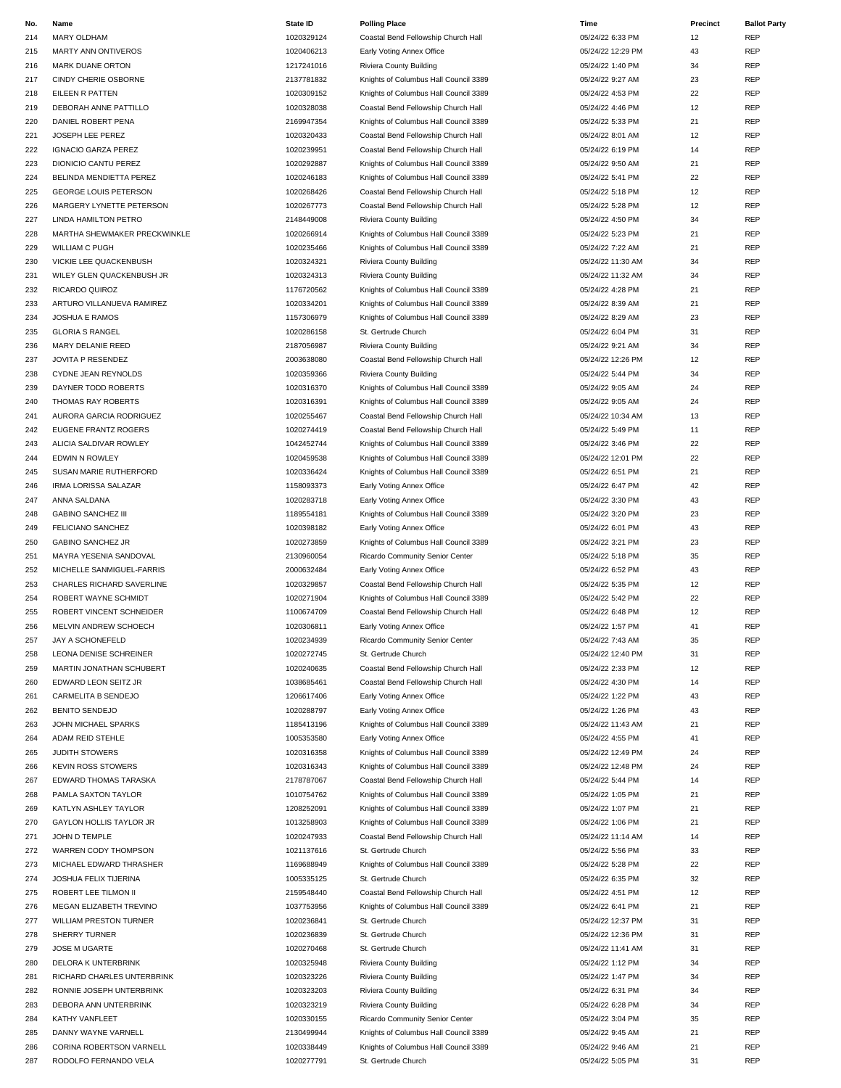| No. | Name                          | State ID   | <b>Polling Place</b>                  | Time              | <b>Precinct</b> | <b>Ballot Party</b> |
|-----|-------------------------------|------------|---------------------------------------|-------------------|-----------------|---------------------|
| 214 | MARY OLDHAM                   | 1020329124 | Coastal Bend Fellowship Church Hall   | 05/24/22 6:33 PM  | 12              | REP                 |
| 215 | <b>MARTY ANN ONTIVEROS</b>    | 1020406213 | Early Voting Annex Office             | 05/24/22 12:29 PM | 43              | REP                 |
| 216 | <b>MARK DUANE ORTON</b>       | 1217241016 | Riviera County Building               | 05/24/22 1:40 PM  | 34              | REP                 |
|     | CINDY CHERIE OSBORNE          | 2137781832 | Knights of Columbus Hall Council 3389 | 05/24/22 9:27 AM  | 23              | REP                 |
| 217 |                               |            |                                       |                   |                 |                     |
| 218 | EILEEN R PATTEN               | 1020309152 | Knights of Columbus Hall Council 3389 | 05/24/22 4:53 PM  | 22              | REP                 |
| 219 | DEBORAH ANNE PATTILLO         | 1020328038 | Coastal Bend Fellowship Church Hall   | 05/24/22 4:46 PM  | 12              | <b>REP</b>          |
| 220 | DANIEL ROBERT PENA            | 2169947354 | Knights of Columbus Hall Council 3389 | 05/24/22 5:33 PM  | 21              | REP                 |
| 221 | JOSEPH LEE PEREZ              | 1020320433 | Coastal Bend Fellowship Church Hall   | 05/24/22 8:01 AM  | 12              | REP                 |
| 222 | <b>IGNACIO GARZA PEREZ</b>    | 1020239951 | Coastal Bend Fellowship Church Hall   | 05/24/22 6:19 PM  | 14              | REP                 |
| 223 | DIONICIO CANTU PEREZ          | 1020292887 | Knights of Columbus Hall Council 3389 | 05/24/22 9:50 AM  | 21              | REP                 |
| 224 | BELINDA MENDIETTA PEREZ       | 1020246183 | Knights of Columbus Hall Council 3389 | 05/24/22 5:41 PM  | 22              | <b>REP</b>          |
|     |                               |            |                                       |                   |                 |                     |
| 225 | <b>GEORGE LOUIS PETERSON</b>  | 1020268426 | Coastal Bend Fellowship Church Hall   | 05/24/22 5:18 PM  | 12              | REP                 |
| 226 | MARGERY LYNETTE PETERSON      | 1020267773 | Coastal Bend Fellowship Church Hall   | 05/24/22 5:28 PM  | 12              | REP                 |
| 227 | LINDA HAMILTON PETRO          | 2148449008 | Riviera County Building               | 05/24/22 4:50 PM  | 34              | REP                 |
| 228 | MARTHA SHEWMAKER PRECKWINKLE  | 1020266914 | Knights of Columbus Hall Council 3389 | 05/24/22 5:23 PM  | 21              | REP                 |
| 229 | <b>WILLIAM C PUGH</b>         | 1020235466 | Knights of Columbus Hall Council 3389 | 05/24/22 7:22 AM  | 21              | <b>REP</b>          |
| 230 | VICKIE LEE QUACKENBUSH        | 1020324321 | Riviera County Building               | 05/24/22 11:30 AM | 34              | REP                 |
|     |                               |            |                                       |                   |                 | REP                 |
| 231 | WILEY GLEN QUACKENBUSH JR     | 1020324313 | Riviera County Building               | 05/24/22 11:32 AM | 34              |                     |
| 232 | RICARDO QUIROZ                | 1176720562 | Knights of Columbus Hall Council 3389 | 05/24/22 4:28 PM  | 21              | REP                 |
| 233 | ARTURO VILLANUEVA RAMIREZ     | 1020334201 | Knights of Columbus Hall Council 3389 | 05/24/22 8:39 AM  | 21              | REP                 |
| 234 | <b>JOSHUA E RAMOS</b>         | 1157306979 | Knights of Columbus Hall Council 3389 | 05/24/22 8:29 AM  | 23              | <b>REP</b>          |
| 235 | <b>GLORIA S RANGEL</b>        | 1020286158 | St. Gertrude Church                   | 05/24/22 6:04 PM  | 31              | REP                 |
| 236 | MARY DELANIE REED             | 2187056987 | Riviera County Building               | 05/24/22 9:21 AM  | 34              | REP                 |
|     |                               |            |                                       |                   |                 | REP                 |
| 237 | JOVITA P RESENDEZ             | 2003638080 | Coastal Bend Fellowship Church Hall   | 05/24/22 12:26 PM | 12              |                     |
| 238 | CYDNE JEAN REYNOLDS           | 1020359366 | Riviera County Building               | 05/24/22 5:44 PM  | 34              | REP                 |
| 239 | <b>DAYNER TODD ROBERTS</b>    | 1020316370 | Knights of Columbus Hall Council 3389 | 05/24/22 9:05 AM  | 24              | REP                 |
| 240 | THOMAS RAY ROBERTS            | 1020316391 | Knights of Columbus Hall Council 3389 | 05/24/22 9:05 AM  | 24              | REP                 |
| 241 | AURORA GARCIA RODRIGUEZ       | 1020255467 | Coastal Bend Fellowship Church Hall   | 05/24/22 10:34 AM | 13              | REP                 |
| 242 | EUGENE FRANTZ ROGERS          | 1020274419 | Coastal Bend Fellowship Church Hall   | 05/24/22 5:49 PM  | 11              | REP                 |
|     |                               |            |                                       |                   | 22              | REP                 |
| 243 | ALICIA SALDIVAR ROWLEY        | 1042452744 | Knights of Columbus Hall Council 3389 | 05/24/22 3:46 PM  |                 |                     |
| 244 | EDWIN N ROWLEY                | 1020459538 | Knights of Columbus Hall Council 3389 | 05/24/22 12:01 PM | 22              | <b>REP</b>          |
| 245 | SUSAN MARIE RUTHERFORD        | 1020336424 | Knights of Columbus Hall Council 3389 | 05/24/22 6:51 PM  | 21              | REP                 |
| 246 | <b>IRMA LORISSA SALAZAR</b>   | 1158093373 | Early Voting Annex Office             | 05/24/22 6:47 PM  | 42              | REP                 |
| 247 | ANNA SALDANA                  | 1020283718 | Early Voting Annex Office             | 05/24/22 3:30 PM  | 43              | REP                 |
| 248 | <b>GABINO SANCHEZ III</b>     | 1189554181 | Knights of Columbus Hall Council 3389 | 05/24/22 3:20 PM  | 23              | REP                 |
| 249 | FELICIANO SANCHEZ             | 1020398182 | Early Voting Annex Office             | 05/24/22 6:01 PM  | 43              | REP                 |
|     |                               |            |                                       |                   |                 |                     |
| 250 | <b>GABINO SANCHEZ JR</b>      | 1020273859 | Knights of Columbus Hall Council 3389 | 05/24/22 3:21 PM  | 23              | REP                 |
| 251 | MAYRA YESENIA SANDOVAL        | 2130960054 | Ricardo Community Senior Center       | 05/24/22 5:18 PM  | 35              | REP                 |
| 252 | MICHELLE SANMIGUEL-FARRIS     | 2000632484 | Early Voting Annex Office             | 05/24/22 6:52 PM  | 43              | REP                 |
| 253 | CHARLES RICHARD SAVERLINE     | 1020329857 | Coastal Bend Fellowship Church Hall   | 05/24/22 5:35 PM  | 12              | REP                 |
| 254 | ROBERT WAYNE SCHMIDT          | 1020271904 | Knights of Columbus Hall Council 3389 | 05/24/22 5:42 PM  | 22              | REP                 |
| 255 | ROBERT VINCENT SCHNEIDER      | 1100674709 | Coastal Bend Fellowship Church Hall   | 05/24/22 6:48 PM  | 12              | <b>REP</b>          |
|     | MELVIN ANDREW SCHOECH         |            | Early Voting Annex Office             | 05/24/22 1:57 PM  |                 | REP                 |
| 256 |                               | 1020306811 |                                       |                   | 41              |                     |
| 257 | JAY A SCHONEFELD              | 1020234939 | Ricardo Community Senior Center       | 05/24/22 7:43 AM  | 35              | REP                 |
| 258 | LEONA DENISE SCHREINER        | 1020272745 | St. Gertrude Church                   | 05/24/22 12:40 PM | 31              | <b>REP</b>          |
| 259 | MARTIN JONATHAN SCHUBERT      | 1020240635 | Coastal Bend Fellowship Church Hall   | 05/24/22 2:33 PM  | 12              | REP                 |
| 260 | EDWARD LEON SEITZ JR          | 1038685461 | Coastal Bend Fellowship Church Hall   | 05/24/22 4:30 PM  | 14              | REP                 |
| 261 | CARMELITA B SENDEJO           | 1206617406 | Early Voting Annex Office             | 05/24/22 1:22 PM  | 43              | REP                 |
| 262 | BENITO SENDEJO                | 1020288797 | Early Voting Annex Office             | 05/24/22 1:26 PM  | 43              | REP                 |
|     |                               |            |                                       |                   |                 |                     |
| 263 | JOHN MICHAEL SPARKS           | 1185413196 | Knights of Columbus Hall Council 3389 | 05/24/22 11:43 AM | 21              | REP                 |
| 264 | ADAM REID STEHLE              | 1005353580 | Early Voting Annex Office             | 05/24/22 4:55 PM  | 41              | REP                 |
| 265 | JUDITH STOWERS                | 1020316358 | Knights of Columbus Hall Council 3389 | 05/24/22 12:49 PM | 24              | REP                 |
| 266 | <b>KEVIN ROSS STOWERS</b>     | 1020316343 | Knights of Columbus Hall Council 3389 | 05/24/22 12:48 PM | 24              | REP                 |
| 267 | EDWARD THOMAS TARASKA         | 2178787067 | Coastal Bend Fellowship Church Hall   | 05/24/22 5:44 PM  | 14              | REP                 |
| 268 | PAMLA SAXTON TAYLOR           | 1010754762 | Knights of Columbus Hall Council 3389 | 05/24/22 1:05 PM  | 21              | REP                 |
| 269 | KATLYN ASHLEY TAYLOR          | 1208252091 | Knights of Columbus Hall Council 3389 | 05/24/22 1:07 PM  | 21              | REP                 |
|     |                               |            |                                       |                   |                 |                     |
| 270 | GAYLON HOLLIS TAYLOR JR       | 1013258903 | Knights of Columbus Hall Council 3389 | 05/24/22 1:06 PM  | 21              | REP                 |
| 271 | JOHN D TEMPLE                 | 1020247933 | Coastal Bend Fellowship Church Hall   | 05/24/22 11:14 AM | 14              | REP                 |
| 272 | WARREN CODY THOMPSON          | 1021137616 | St. Gertrude Church                   | 05/24/22 5:56 PM  | 33              | REP                 |
| 273 | MICHAEL EDWARD THRASHER       | 1169688949 | Knights of Columbus Hall Council 3389 | 05/24/22 5:28 PM  | 22              | REP                 |
| 274 | JOSHUA FELIX TIJERINA         | 1005335125 | St. Gertrude Church                   | 05/24/22 6:35 PM  | 32              | REP                 |
| 275 | ROBERT LEE TILMON II          | 2159548440 | Coastal Bend Fellowship Church Hall   | 05/24/22 4:51 PM  | 12              | REP                 |
|     |                               |            |                                       |                   |                 |                     |
| 276 | MEGAN ELIZABETH TREVINO       | 1037753956 | Knights of Columbus Hall Council 3389 | 05/24/22 6:41 PM  | 21              | REP                 |
| 277 | <b>WILLIAM PRESTON TURNER</b> | 1020236841 | St. Gertrude Church                   | 05/24/22 12:37 PM | 31              | REP                 |
| 278 | SHERRY TURNER                 | 1020236839 | St. Gertrude Church                   | 05/24/22 12:36 PM | 31              | REP                 |
| 279 | JOSE M UGARTE                 | 1020270468 | St. Gertrude Church                   | 05/24/22 11:41 AM | 31              | REP                 |
| 280 | DELORA K UNTERBRINK           | 1020325948 | Riviera County Building               | 05/24/22 1:12 PM  | 34              | REP                 |
| 281 | RICHARD CHARLES UNTERBRINK    | 1020323226 | Riviera County Building               | 05/24/22 1:47 PM  | 34              | REP                 |
|     |                               |            |                                       |                   |                 |                     |
| 282 | RONNIE JOSEPH UNTERBRINK      | 1020323203 | Riviera County Building               | 05/24/22 6:31 PM  | 34              | REP                 |
| 283 | DEBORA ANN UNTERBRINK         | 1020323219 | Riviera County Building               | 05/24/22 6:28 PM  | 34              | REP                 |
| 284 | KATHY VANFLEET                | 1020330155 | Ricardo Community Senior Center       | 05/24/22 3:04 PM  | 35              | REP                 |
| 285 | DANNY WAYNE VARNELL           | 2130499944 | Knights of Columbus Hall Council 3389 | 05/24/22 9:45 AM  | 21              | REP                 |
| 286 | CORINA ROBERTSON VARNELL      | 1020338449 | Knights of Columbus Hall Council 3389 | 05/24/22 9:46 AM  | 21              | <b>REP</b>          |
| 287 | RODOLFO FERNANDO VELA         | 1020277791 | St. Gertrude Church                   | 05/24/22 5:05 PM  | 31              | REP                 |